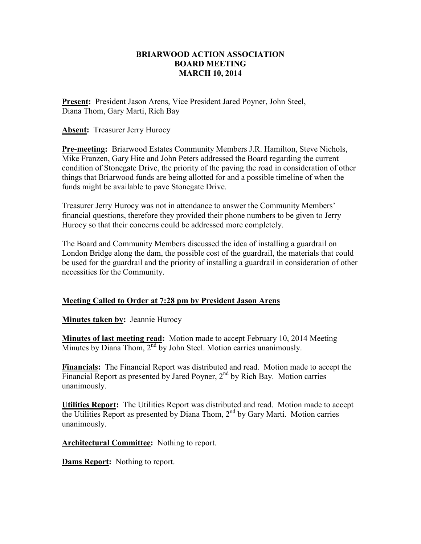## **BRIARWOOD ACTION ASSOCIATION BOARD MEETING MARCH 10, 2014**

**Present:** President Jason Arens, Vice President Jared Poyner, John Steel, Diana Thom, Gary Marti, Rich Bay

**Absent:** Treasurer Jerry Hurocy

**Pre-meeting:** Briarwood Estates Community Members J.R. Hamilton, Steve Nichols, Mike Franzen, Gary Hite and John Peters addressed the Board regarding the current condition of Stonegate Drive, the priority of the paving the road in consideration of other things that Briarwood funds are being allotted for and a possible timeline of when the funds might be available to pave Stonegate Drive.

Treasurer Jerry Hurocy was not in attendance to answer the Community Members' financial questions, therefore they provided their phone numbers to be given to Jerry Hurocy so that their concerns could be addressed more completely.

The Board and Community Members discussed the idea of installing a guardrail on London Bridge along the dam, the possible cost of the guardrail, the materials that could be used for the guardrail and the priority of installing a guardrail in consideration of other necessities for the Community.

## **Meeting Called to Order at 7:28 pm by President Jason Arens**

**Minutes taken by:** Jeannie Hurocy

**Minutes of last meeting read:** Motion made to accept February 10, 2014 Meeting Minutes by Diana Thom,  $2<sup>nd</sup>$  by John Steel. Motion carries unanimously.

**Financials:** The Financial Report was distributed and read. Motion made to accept the Financial Report as presented by Jared Poyner,  $2<sup>nd</sup>$  by Rich Bay. Motion carries unanimously.

**Utilities Report:** The Utilities Report was distributed and read. Motion made to accept the Utilities Report as presented by Diana Thom,  $2<sup>nd</sup>$  by Gary Marti. Motion carries unanimously.

**Architectural Committee:** Nothing to report.

**Dams Report:** Nothing to report.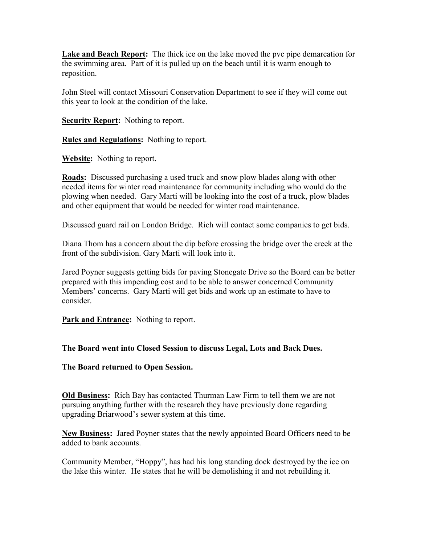**Lake and Beach Report:** The thick ice on the lake moved the pvc pipe demarcation for the swimming area. Part of it is pulled up on the beach until it is warm enough to reposition.

John Steel will contact Missouri Conservation Department to see if they will come out this year to look at the condition of the lake.

**Security Report:** Nothing to report.

**Rules and Regulations:** Nothing to report.

**Website:** Nothing to report.

**Roads:** Discussed purchasing a used truck and snow plow blades along with other needed items for winter road maintenance for community including who would do the plowing when needed. Gary Marti will be looking into the cost of a truck, plow blades and other equipment that would be needed for winter road maintenance.

Discussed guard rail on London Bridge. Rich will contact some companies to get bids.

Diana Thom has a concern about the dip before crossing the bridge over the creek at the front of the subdivision. Gary Marti will look into it.

Jared Poyner suggests getting bids for paving Stonegate Drive so the Board can be better prepared with this impending cost and to be able to answer concerned Community Members' concerns. Gary Marti will get bids and work up an estimate to have to consider.

**Park and Entrance:** Nothing to report.

## **The Board went into Closed Session to discuss Legal, Lots and Back Dues.**

**The Board returned to Open Session.** 

**Old Business:** Rich Bay has contacted Thurman Law Firm to tell them we are not pursuing anything further with the research they have previously done regarding upgrading Briarwood's sewer system at this time.

**New Business:** Jared Poyner states that the newly appointed Board Officers need to be added to bank accounts.

Community Member, "Hoppy", has had his long standing dock destroyed by the ice on the lake this winter. He states that he will be demolishing it and not rebuilding it.